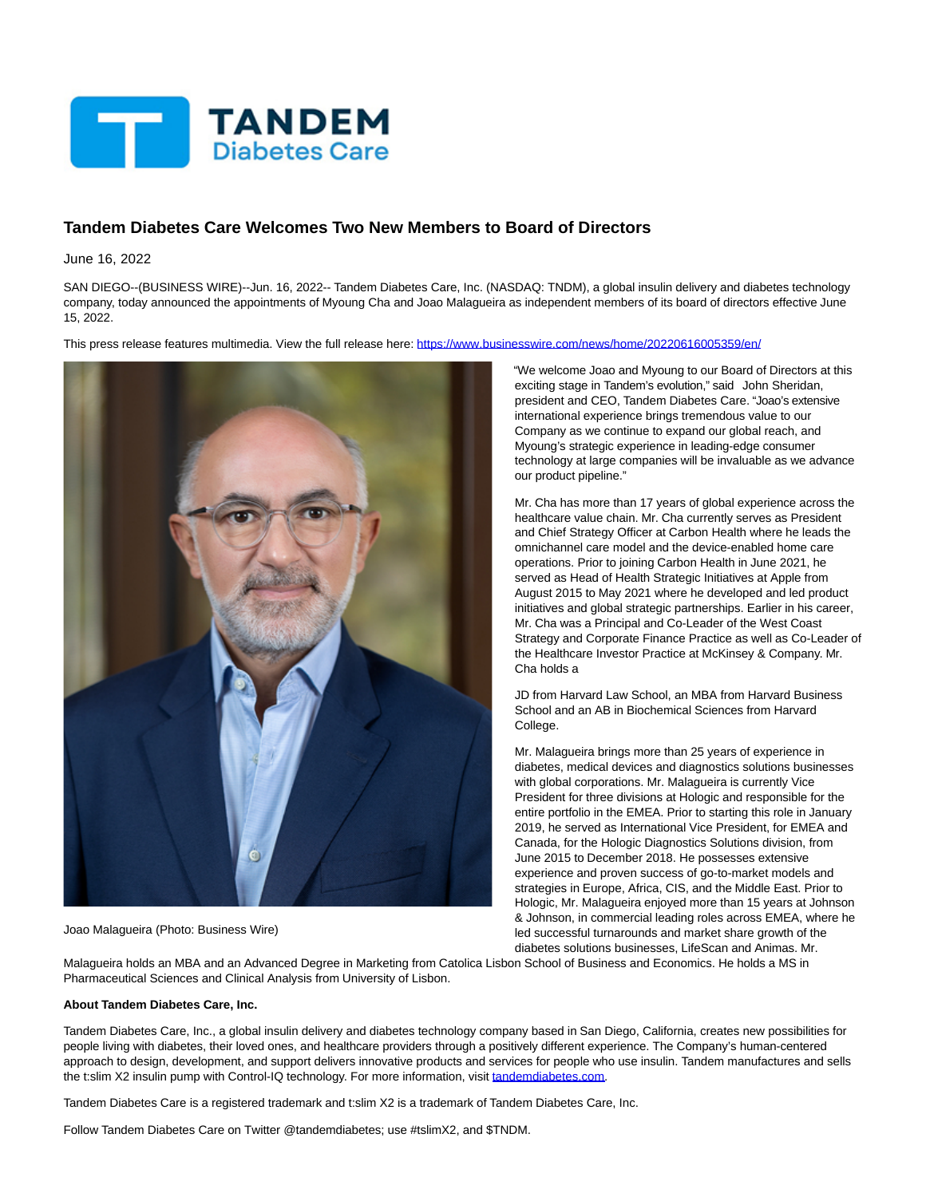

## **Tandem Diabetes Care Welcomes Two New Members to Board of Directors**

June 16, 2022

SAN DIEGO--(BUSINESS WIRE)--Jun. 16, 2022-- Tandem Diabetes Care, Inc. (NASDAQ: TNDM), a global insulin delivery and diabetes technology company, today announced the appointments of Myoung Cha and Joao Malagueira as independent members of its board of directors effective June 15, 2022.

This press release features multimedia. View the full release here:<https://www.businesswire.com/news/home/20220616005359/en/>



Joao Malagueira (Photo: Business Wire)

"We welcome Joao and Myoung to our Board of Directors at this exciting stage in Tandem's evolution," said John Sheridan, president and CEO, Tandem Diabetes Care. "Joao's extensive international experience brings tremendous value to our Company as we continue to expand our global reach, and Myoung's strategic experience in leading-edge consumer technology at large companies will be invaluable as we advance our product pipeline."

Mr. Cha has more than 17 years of global experience across the healthcare value chain. Mr. Cha currently serves as President and Chief Strategy Officer at Carbon Health where he leads the omnichannel care model and the device-enabled home care operations. Prior to joining Carbon Health in June 2021, he served as Head of Health Strategic Initiatives at Apple from August 2015 to May 2021 where he developed and led product initiatives and global strategic partnerships. Earlier in his career, Mr. Cha was a Principal and Co-Leader of the West Coast Strategy and Corporate Finance Practice as well as Co-Leader of the Healthcare Investor Practice at McKinsey & Company. Mr. Cha holds a

JD from Harvard Law School, an MBA from Harvard Business School and an AB in Biochemical Sciences from Harvard College.

Mr. Malagueira brings more than 25 years of experience in diabetes, medical devices and diagnostics solutions businesses with global corporations. Mr. Malagueira is currently Vice President for three divisions at Hologic and responsible for the entire portfolio in the EMEA. Prior to starting this role in January 2019, he served as International Vice President, for EMEA and Canada, for the Hologic Diagnostics Solutions division, from June 2015 to December 2018. He possesses extensive experience and proven success of go-to-market models and strategies in Europe, Africa, CIS, and the Middle East. Prior to Hologic, Mr. Malagueira enjoyed more than 15 years at Johnson & Johnson, in commercial leading roles across EMEA, where he led successful turnarounds and market share growth of the diabetes solutions businesses, LifeScan and Animas. Mr.

Malagueira holds an MBA and an Advanced Degree in Marketing from Catolica Lisbon School of Business and Economics. He holds a MS in Pharmaceutical Sciences and Clinical Analysis from University of Lisbon.

## **About Tandem Diabetes Care, Inc.**

Tandem Diabetes Care, Inc., a global insulin delivery and diabetes technology company based in San Diego, California, creates new possibilities for people living with diabetes, their loved ones, and healthcare providers through a positively different experience. The Company's human-centered approach to design, development, and support delivers innovative products and services for people who use insulin. Tandem manufactures and sells the t:slim X2 insulin pump with Control-IQ technology. For more information, visit [tandemdiabetes.com.](https://cts.businesswire.com/ct/CT?id=smartlink&url=http%3A%2F%2Fwww.tandemdiabetes.com%2F&esheet=52751479&newsitemid=20220616005359&lan=en-US&anchor=tandemdiabetes.com&index=1&md5=6435fe1c60659cfaa85ffe1e53b6aa33)

Tandem Diabetes Care is a registered trademark and t:slim X2 is a trademark of Tandem Diabetes Care, Inc.

Follow Tandem Diabetes Care on Twitter @tandemdiabetes; use #tslimX2, and \$TNDM.